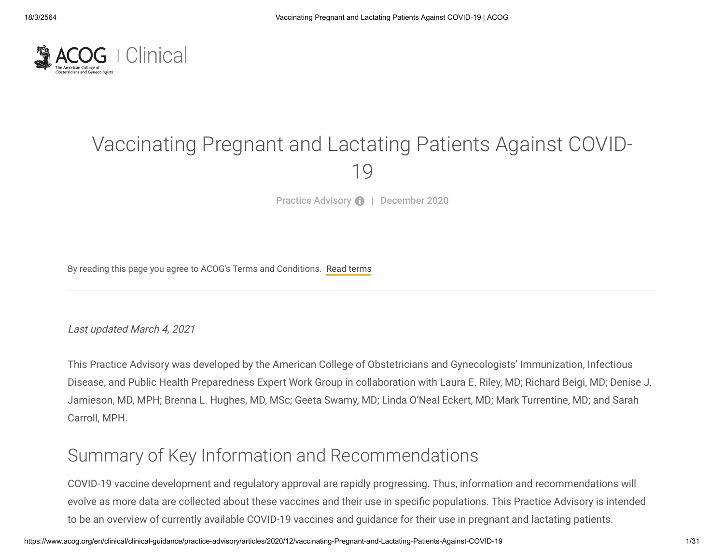

# Vaccinating Pregnant and Lactating Patients Against COVID-19

Practice Advisory **0** | December 2020

By reading this page you agree to ACOG's Terms and Conditions. [Read terms](https://www.acog.org/contact/terms-of-use)

Last updated March 4, 2021

This Practice Advisory was developed by the American College of Obstetricians and Gynecologists' Immunization, Infectious Disease, and Public Health Preparedness Expert Work Group in collaboration with Laura E. Riley, MD; Richard Beigi, MD; Denise J. Jamieson, MD, MPH; Brenna L. Hughes, MD, MSc; Geeta Swamy, MD; Linda O'Neal Eckert, MD; Mark Turrentine, MD; and Sarah Carroll, MPH.

# Summary of Key Information and Recommendations

COVID-19 vaccine development and regulatory approval are rapidly progressing. Thus, information and recommendations will evolve as more data are collected about these vaccines and their use in specific populations. This Practice Advisory is intended to be an overview of currently available COVID-19 vaccines and guidance for their use in pregnant and lactating patients.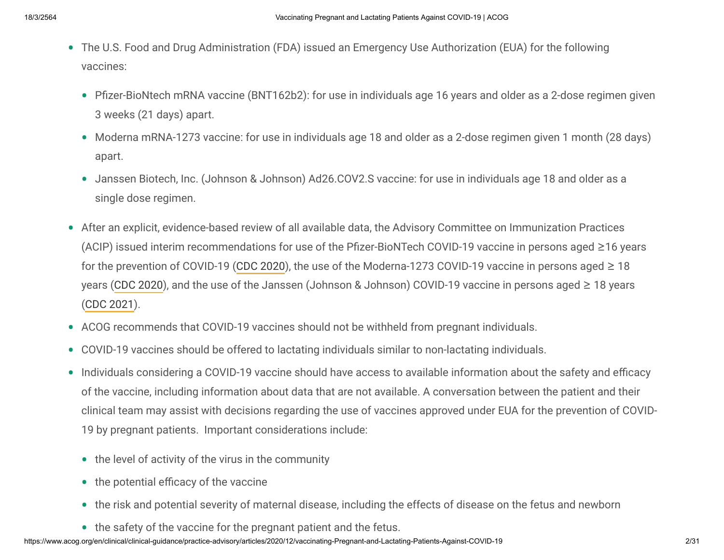- The U.S. Food and Drug Administration (FDA) issued an Emergency Use Authorization (EUA) for the following vaccines:
	- Pfizer-BioNtech mRNA vaccine (BNT162b2): for use in individuals age 16 years and older as a 2-dose regimen given 3 weeks (21 days) apart.
	- Moderna mRNA-1273 vaccine: for use in individuals age 18 and older as a 2-dose regimen given 1 month (28 days) apart.
	- Janssen Biotech, Inc. (Johnson & Johnson) Ad26.COV2.S vaccine: for use in individuals age 18 and older as a single dose regimen.
- After an explicit, evidence-based review of all available data, the Advisory Committee on Immunization Practices (ACIP) issued interim recommendations for use of the Pfizer-BioNTech COVID-19 vaccine in persons aged  $\geq$ 16 years for the prevention of COVID-19 [\(CDC 2020\)](https://www.cdc.gov/mmwr/volumes/69/wr/mm6950e2.htm?s_cid=mm6950e2_e&ACSTrackingID=USCDC_921-DM44546&ACSTrackingLabel=MMWR%20Early%20Release%20-%20Vol.%2069%2C%20December%2013%2C%202020&deliveryName=USCDC_921-DM44546), the use of the Moderna-1273 COVID-19 vaccine in persons aged  $\geq 18$ years ([CDC 2020](https://www.cdc.gov/mmwr/volumes/69/wr/mm695152e1.htm?s_cid=mm695152e1_e&ACSTrackingID=USCDC_921-DM45179&ACSTrackingLabel=MMWR%20Early%20Release%20-%20Vol.%2069%2C%20December%2020%2C%202020&deliveryName=USCDC_921-DM45179)), and the use of the Janssen (Johnson & Johnson) COVID-19 vaccine in persons aged ≥ 18 years [\(CDC 2021\)](https://www.cdc.gov/mmwr/volumes/70/wr/mm7009e4.htm).
- ACOG recommends that COVID-19 vaccines should not be withheld from pregnant individuals. •
- COVID-19 vaccines should be offered to lactating individuals similar to non-lactating individuals. •
- Individuals considering a COVID-19 vaccine should have access to available information about the safety and efficacy of the vaccine, including information about data that are not available. A conversation between the patient and their clinical team may assist with decisions regarding the use of vaccines approved under EUA for the prevention of COVID-19 by pregnant patients. Important considerations include:
	- the level of activity of the virus in the community
	- $\bullet$  the potential efficacy of the vaccine
	- the risk and potential severity of maternal disease, including the effects of disease on the fetus and newborn •
	- the safety of the vaccine for the pregnant patient and the fetus.
- https://www.acog.org/en/clinical/clinical-guidance/practice-advisory/articles/2020/12/vaccinating-Pregnant-and-Lactating-Patients-Against-COVID-19 2/31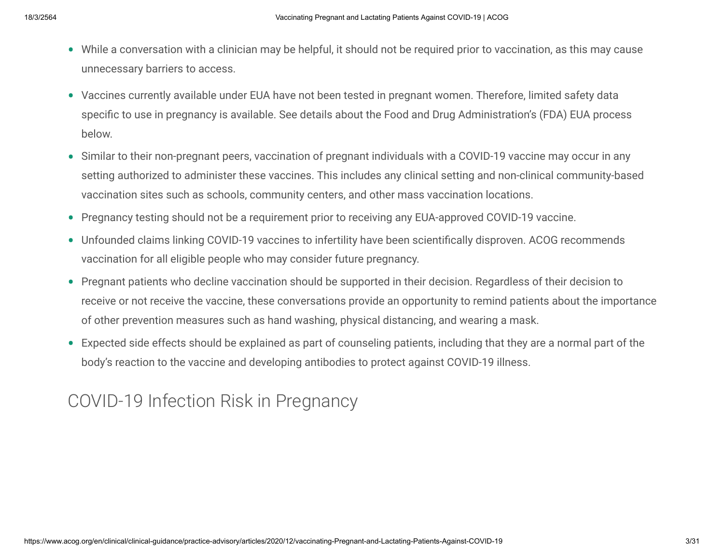- While a conversation with a clinician may be helpful, it should not be required prior to vaccination, as this may cause unnecessary barriers to access.
- Vaccines currently available under EUA have not been tested in pregnant women. Therefore, limited safety data specific to use in pregnancy is available. See details about the Food and Drug Administration's (FDA) EUA process below.
- Similar to their non-pregnant peers, vaccination of pregnant individuals with a COVID-19 vaccine may occur in any setting authorized to administer these vaccines. This includes any clinical setting and non-clinical community-based vaccination sites such as schools, community centers, and other mass vaccination locations.
- Pregnancy testing should not be a requirement prior to receiving any EUA-approved COVID-19 vaccine.
- Unfounded claims linking COVID-19 vaccines to infertility have been scientifically disproven. ACOG recommends vaccination for all eligible people who may consider future pregnancy.
- Pregnant patients who decline vaccination should be supported in their decision. Regardless of their decision to receive or not receive the vaccine, these conversations provide an opportunity to remind patients about the importance of other prevention measures such as hand washing, physical distancing, and wearing a mask.
- Expected side effects should be explained as part of counseling patients, including that they are a normal part of the •body's reaction to the vaccine and developing antibodies to protect against COVID-19 illness.

# COVID-19 Infection Risk in Pregnancy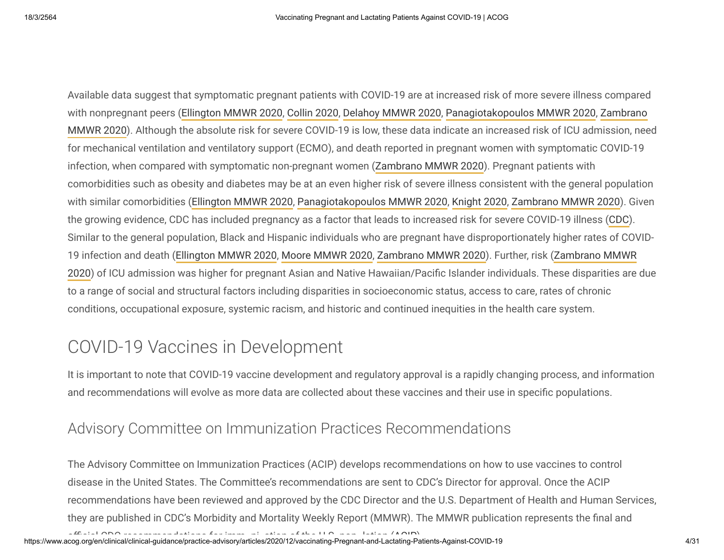Available data suggest that symptomatic pregnant patients with COVID-19 are at increased risk of more severe illness compared [with nonpregnant peers \(](https://www.cdc.gov/mmwr/volumes/69/wr/mm6944e3.htm)[Ellington MMWR 202](https://www.cdc.gov/mmwr/volumes/69/wr/mm6925a1.htm)[0,](https://www.cdc.gov/mmwr/volumes/69/wr/mm6944e3.htm) [Collin 202](https://obgyn.onlinelibrary.wiley.com/doi/full/10.1111/aogs.13901)[0, D](https://www.cdc.gov/mmwr/volumes/69/wr/mm6944e3.htm)[elahoy MMWR 2020](https://www.cdc.gov/mmwr/volumes/69/wr/mm6938e1.htm)[, P](https://www.cdc.gov/mmwr/volumes/69/wr/mm6944e3.htm)[anagiotakopoulos MMWR 2020](https://www.cdc.gov/mmwr/volumes/69/wr/mm6938e2.htm)[, Zambrano](https://www.cdc.gov/mmwr/volumes/69/wr/mm6944e3.htm) MMWR 2020). Although the absolute risk for severe COVID-19 is low, these data indicate an increased risk of ICU admission, need for mechanical ventilation and ventilatory support (ECMO), and death reported in pregnant women with symptomatic COVID-19 infection, when compared with symptomatic non-pregnant women ([Zambrano MMWR 2020](https://www.cdc.gov/mmwr/volumes/69/wr/mm6944e3.htm)). Pregnant patients with comorbidities such as obesity and diabetes may be at an even higher risk of severe illness consistent with the general population with similar comorbidities ([Ellington MMWR 2020,](https://www.cdc.gov/mmwr/volumes/69/wr/mm6925a1.htm) [Panagiotakopoulos MMWR 2020,](https://www.cdc.gov/mmwr/volumes/69/wr/mm6938e2.htm) [Knight 2020,](https://www.bmj.com/content/369/bmj.m2107) [Zambrano MMWR 2020](https://www.cdc.gov/mmwr/volumes/69/wr/mm6944e3.htm)). Given the growing evidence, CDC has included pregnancy as a factor that leads to increased risk for severe COVID-19 illness ([CDC](https://www.cdc.gov/coronavirus/2019-ncov/need-extra-precautions/people-with-medical-conditions.html)). Similar to the general population, Black and Hispanic individuals who are pregnant have disproportionately higher rates of COVID-[19 infection and death \(](https://www.cdc.gov/mmwr/volumes/69/wr/mm6944e3.htm)[Ellington MMWR 2020](https://www.cdc.gov/mmwr/volumes/69/wr/mm6925a1.htm)[, M](https://www.cdc.gov/mmwr/volumes/69/wr/mm6944e3.htm)[oore MMWR 2020](https://www.cdc.gov/mmwr/volumes/69/wr/mm6933e1.htm?s_cid=mm6933e1_x)[, Zambrano MMWR 2020\). Further, risk \(Zambrano MMWR](https://www.cdc.gov/mmwr/volumes/69/wr/mm6944e3.htm) 2020) of ICU admission was higher for pregnant Asian and Native Hawaiian/Pacific Islander individuals. These disparities are due to a range of social and structural factors including disparities in socioeconomic status, access to care, rates of chronic conditions, occupational exposure, systemic racism, and historic and continued inequities in the health care system.

# COVID-19 Vaccines in Development

It is important to note that COVID-19 vaccine development and regulatory approval is a rapidly changing process, and information and recommendations will evolve as more data are collected about these vaccines and their use in specific populations.

## Advisory Committee on Immunization Practices Recommendations

The Advisory Committee on Immunization Practices (ACIP) develops recommendations on how to use vaccines to control disease in the United States. The Committee's recommendations are sent to CDC's Director for approval. Once the ACIP recommendations have been reviewed and approved by the CDC Director and the U.S. Department of Health and Human Services, they are published in CDC's Morbidity and Mortality Weekly Report (MMWR). The MMWR publication represents the final and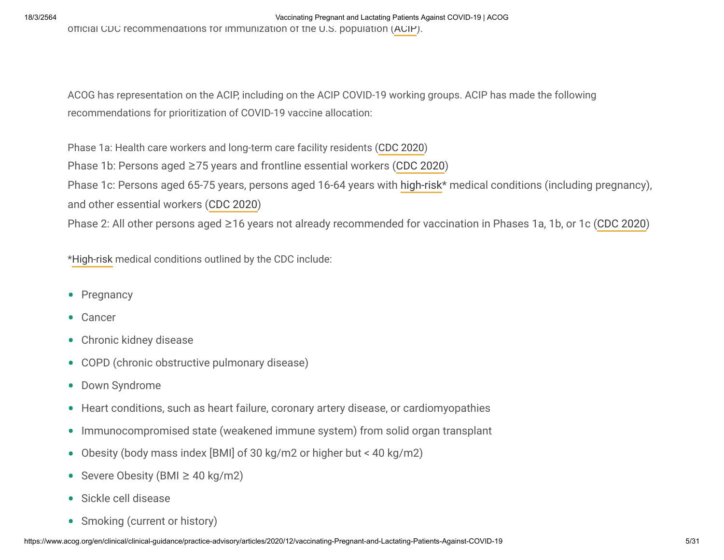18/3/2564 Vaccinating Pregnant and Lactating Patients Against COVID-19 | ACOG ocial CDC recommendations for immunization of the U.S. population ([ACIP\)](https://www.cdc.gov/vaccines/acip/recommendations.html).

ACOG has representation on the ACIP, including on the ACIP COVID-19 working groups. ACIP has made the following recommendations for prioritization of COVID-19 vaccine allocation:

Phase 1a: Health care workers and long-term care facility residents ([CDC 2020](https://www.cdc.gov/mmwr/volumes/69/wr/mm6949e1.htm?s_cid=mm6949e1_e&ACSTrackingID=USCDC_921-DM43627&ACSTrackingLabel=MMWR%20Early%20Release%20-%20Vol.%2069%2C%20December%203%2C%202020&deliveryName=USCDC_921-DM43627))

Phase 1b: Persons aged ≥75 years and frontline essential workers [\(CDC 2020](https://www.cdc.gov/mmwr/volumes/69/wr/mm695152e2.htm?s_cid=mm695152e2_w))

Phase 1c: Persons aged 65-75 years, persons aged 16-64 years with [high-risk\\*](https://www.cdc.gov/coronavirus/2019-ncov/need-extra-precautions/people-with-medical-conditions.html) medical conditions (including pregnancy), and other essential workers [\(CDC 2020\)](https://www.cdc.gov/mmwr/volumes/69/wr/mm695152e2.htm?s_cid=mm695152e2_w)

Phase 2: All other persons aged ≥16 years not already recommended for vaccination in Phases 1a, 1b, or 1c ([CDC 2020\)](https://www.cdc.gov/mmwr/volumes/69/wr/mm695152e2.htm?s_cid=mm695152e2_w)

[\\*High-risk](https://www.cdc.gov/coronavirus/2019-ncov/need-extra-precautions/people-with-medical-conditions.html) medical conditions outlined by the CDC include:

- Pregnancy
- Cancer
- Chronic kidney disease
- COPD (chronic obstructive pulmonary disease) •
- Down Syndrome
- Heart conditions, such as heart failure, coronary artery disease, or cardiomyopathies
- Immunocompromised state (weakened immune system) from solid organ transplant
- Obesity (body mass index [BMI] of 30 kg/m2 or higher but < 40 kg/m2) •
- Severe Obesity (BMI  $\geq$  40 kg/m2)
- Sickle cell disease
- Smoking (current or history)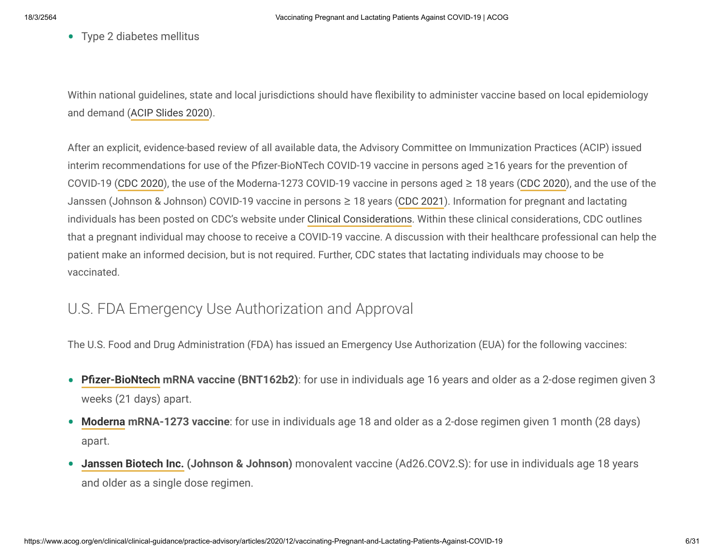• Type 2 diabetes mellitus

Within national guidelines, state and local jurisdictions should have flexibility to administer vaccine based on local epidemiology and demand ([ACIP Slides 2020](https://www.cdc.gov/vaccines/acip/meetings/downloads/slides-2020-12/slides-12-20/02-COVID-Dooling.pdf)).

After an explicit, evidence-based review of all available data, the Advisory Committee on Immunization Practices (ACIP) issued interim recommendations for use of the Pfizer-BioNTech COVID-19 vaccine in persons aged  $\geq$ 16 years for the prevention of COVID-19 ([CDC 2020\)](https://www.cdc.gov/mmwr/volumes/69/wr/mm6950e2.htm?s_cid=mm6950e2_e&ACSTrackingID=USCDC_921-DM44546&ACSTrackingLabel=MMWR%20Early%20Release%20-%20Vol.%2069%2C%20December%2013%2C%202020&deliveryName=USCDC_921-DM44546), the use of the Moderna-1273 COVID-19 vaccine in persons aged ≥ 18 years [\(CDC 2020](https://www.cdc.gov/mmwr/volumes/69/wr/mm695152e1.htm?s_cid=mm695152e1_e&ACSTrackingID=USCDC_921-DM45179&ACSTrackingLabel=MMWR%20Early%20Release%20-%20Vol.%2069%2C%20December%2020%2C%202020&deliveryName=USCDC_921-DM45179)), and the use of the Janssen (Johnson & Johnson) COVID-19 vaccine in persons ≥ 18 years ([CDC 2021\)](https://www.cdc.gov/mmwr/volumes/70/wr/mm7009e4.htm). Information for pregnant and lactating individuals has been posted on CDC's website under [Clinical Considerations](https://www.cdc.gov/vaccines/covid-19/info-by-product/pfizer/clinical-considerations.html). Within these clinical considerations, CDC outlines that a pregnant individual may choose to receive a COVID-19 vaccine. A discussion with their healthcare professional can help the patient make an informed decision, but is not required. Further, CDC states that lactating individuals may choose to be vaccinated.

## U.S. FDA Emergency Use Authorization and Approval

The U.S. Food and Drug Administration (FDA) has issued an Emergency Use Authorization (EUA) for the following vaccines:

- **Pfizer-BioNtech mRNA vaccine (BNT162b2)**: for use in individuals age 16 years and older as a 2-dose regimen given 3 weeks (21 days) apart.
- **[Moderna](https://www.fda.gov/media/144636/download) mRNA-1273 vaccine**: for use in individuals age 18 and older as a 2-dose regimen given 1 month (28 days) apart.
- **[Janssen Biotech Inc.](https://www.fda.gov/media/146303/download) (Johnson & Johnson)** monovalent vaccine (Ad26.COV2.S): for use in individuals age 18 years and older as a single dose regimen. •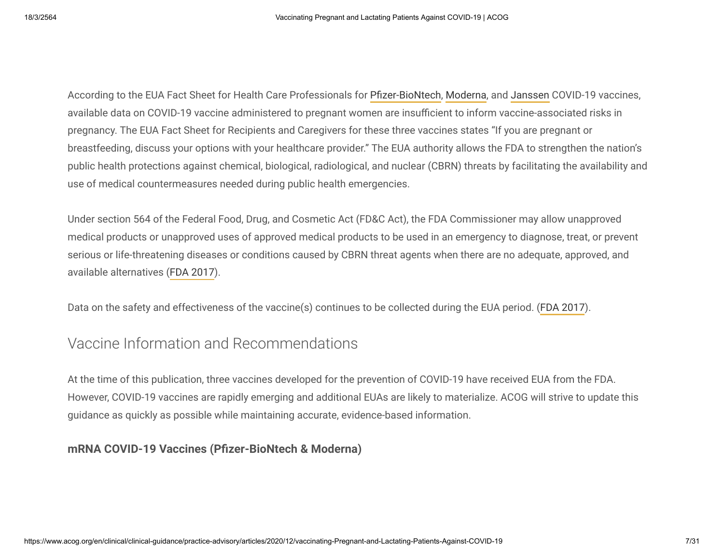According to the EUA Fact Sheet for Health Care Professionals for Pfizer-BioNtech, [Moderna](https://www.fda.gov/media/144637/download), and [Janssen](https://www.fda.gov/media/146304/download) COVID-19 vaccines, available data on COVID-19 vaccine administered to pregnant women are insufficient to inform vaccine-associated risks in pregnancy. The EUA Fact Sheet for Recipients and Caregivers for these three vaccines states "If you are pregnant or breastfeeding, discuss your options with your healthcare provider." The EUA authority allows the FDA to strengthen the nation's public health protections against chemical, biological, radiological, and nuclear (CBRN) threats by facilitating the availability and use of medical countermeasures needed during public health emergencies.

Under section 564 of the Federal Food, Drug, and Cosmetic Act (FD&C Act), the FDA Commissioner may allow unapproved medical products or unapproved uses of approved medical products to be used in an emergency to diagnose, treat, or prevent serious or life-threatening diseases or conditions caused by CBRN threat agents when there are no adequate, approved, and available alternatives ([FDA 2017](https://www.fda.gov/regulatory-information/search-fda-guidance-documents/emergency-use-authorization-medical-products-and-related-authorities#intro)).

Data on the safety and effectiveness of the vaccine(s) continues to be collected during the EUA period. ([FDA 2017\)](https://www.fda.gov/regulatory-information/search-fda-guidance-documents/emergency-use-authorization-medical-products-and-related-authorities#monitoring).

## Vaccine Information and Recommendations

At the time of this publication, three vaccines developed for the prevention of COVID-19 have received EUA from the FDA. However, COVID-19 vaccines are rapidly emerging and additional EUAs are likely to materialize. ACOG will strive to update this guidance as quickly as possible while maintaining accurate, evidence-based information.

### **mRNA COVID-19 Vaccines (Pfizer-BioNtech & Moderna)**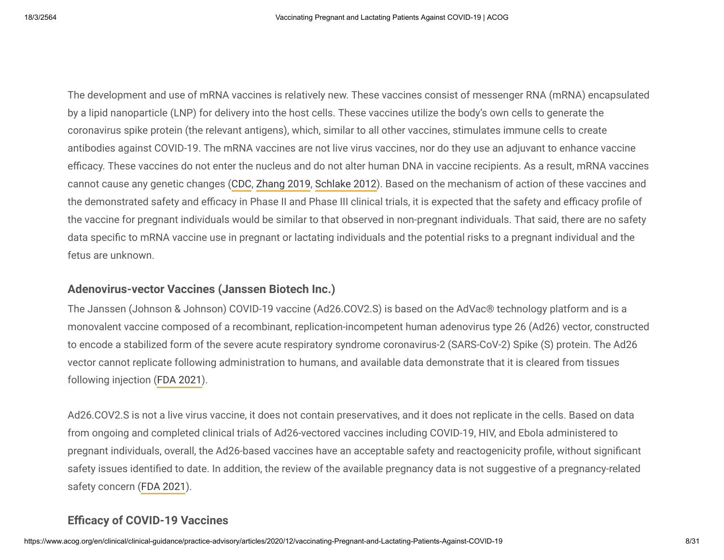The development and use of mRNA vaccines is relatively new. These vaccines consist of messenger RNA (mRNA) encapsulated by a lipid nanoparticle (LNP) for delivery into the host cells. These vaccines utilize the body's own cells to generate the coronavirus spike protein (the relevant antigens), which, similar to all other vaccines, stimulates immune cells to create antibodies against COVID-19. The mRNA vaccines are not live virus vaccines, nor do they use an adjuvant to enhance vaccine efficacy. These vaccines do not enter the nucleus and do not alter human DNA in vaccine recipients. As a result, mRNA vaccines cannot cause any genetic changes ([CDC](https://www.cdc.gov/coronavirus/2019-ncov/vaccines/different-vaccines/mrna.html), [Zhang 2019,](https://www.frontiersin.org/articles/10.3389/fimmu.2019.00594/full) [Schlake 2012\)](https://www.ncbi.nlm.nih.gov/pmc/articles/PMC3597572/). Based on the mechanism of action of these vaccines and the demonstrated safety and efficacy in Phase II and Phase III clinical trials, it is expected that the safety and efficacy profile of the vaccine for pregnant individuals would be similar to that observed in non-pregnant individuals. That said, there are no safety data specific to mRNA vaccine use in pregnant or lactating individuals and the potential risks to a pregnant individual and the fetus are unknown.

### **Adenovirus-vector Vaccines (Janssen Biotech Inc.)**

The Janssen (Johnson & Johnson) COVID-19 vaccine (Ad26.COV2.S) is based on the AdVac® technology platform and is a monovalent vaccine composed of a recombinant, replication-incompetent human adenovirus type 26 (Ad26) vector, constructed to encode a stabilized form of the severe acute respiratory syndrome coronavirus-2 (SARS-CoV-2) Spike (S) protein. The Ad26 vector cannot replicate following administration to humans, and available data demonstrate that it is cleared from tissues following injection [\(FDA 2021\)](https://www.fda.gov/media/146219/download).

Ad26.COV2.S is not a live virus vaccine, it does not contain preservatives, and it does not replicate in the cells. Based on data from ongoing and completed clinical trials of Ad26-vectored vaccines including COVID-19, HIV, and Ebola administered to pregnant individuals, overall, the Ad26-based vaccines have an acceptable safety and reactogenicity profile, without significant safety issues identified to date. In addition, the review of the available pregnancy data is not suggestive of a pregnancy-related safety concern [\(FDA 2021](https://www.fda.gov/media/146219/download)).

### **Efficacy of COVID-19 Vaccines**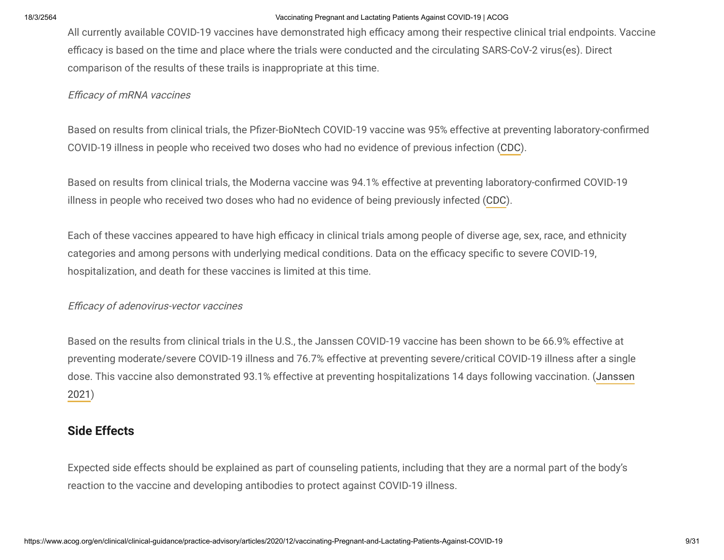All currently available COVID-19 vaccines have demonstrated high efficacy among their respective clinical trial endpoints. Vaccine efficacy is based on the time and place where the trials were conducted and the circulating SARS-CoV-2 virus(es). Direct comparison of the results of these trails is inappropriate at this time.

#### Efficacy of mRNA vaccines

Based on results from clinical trials, the Pfizer-BioNtech COVID-19 vaccine was 95% effective at preventing laboratory-confirmed COVID-19 illness in people who received two doses who had no evidence of previous infection [\(CDC\)](https://www.cdc.gov/mmwr/volumes/69/wr/mm6950e2.htm?s_cid=mm6950e2_w).

Based on results from clinical trials, the Moderna vaccine was 94.1% effective at preventing laboratory-confirmed COVID-19 illness in people who received two doses who had no evidence of being previously infected ([CDC\)](https://www.cdc.gov/mmwr/volumes/69/wr/mm695152e1.htm?s_cid=mm695152e1_w).

Each of these vaccines appeared to have high efficacy in clinical trials among people of diverse age, sex, race, and ethnicity categories and among persons with underlying medical conditions. Data on the efficacy specific to severe COVID-19, hospitalization, and death for these vaccines is limited at this time.

#### Efficacy of adenovirus-vector vaccines

Based on the results from clinical trials in the U.S., the Janssen COVID-19 vaccine has been shown to be 66.9% effective at preventing moderate/severe COVID-19 illness and 76.7% effective at preventing severe/critical COVID-19 illness after a single [dose. This vaccine also demonstrated 93.1% effective at preventing hospitalizations 14 days following vaccination. \(Janssen](https://www.cdc.gov/vaccines/acip/meetings/downloads/slides-2021-02/28-03-01/02-COVID-Douoguih.pdf) 2021)

### **Side Effects**

Expected side effects should be explained as part of counseling patients, including that they are a normal part of the body's reaction to the vaccine and developing antibodies to protect against COVID-19 illness.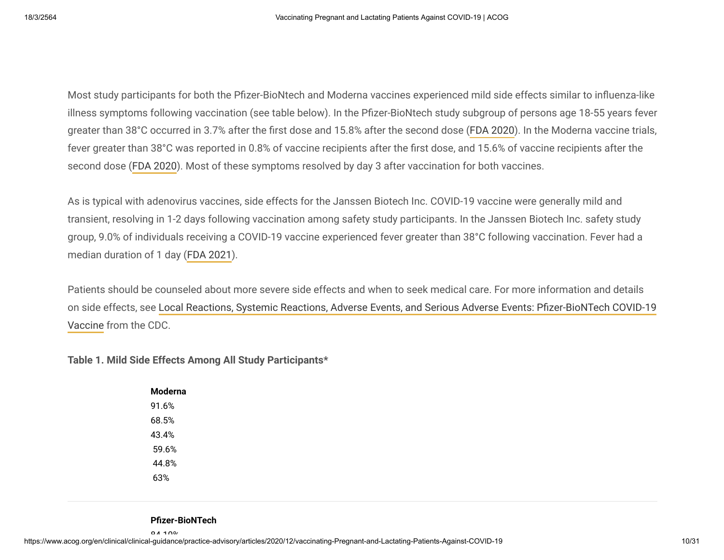Most study participants for both the Pfizer-BioNtech and Moderna vaccines experienced mild side effects similar to influenza-like illness symptoms following vaccination (see table below). In the Pfizer-BioNtech study subgroup of persons age 18-55 years fever greater than 38°C occurred in 3.7% after the first dose and 15.8% after the second dose ([FDA 2020\)](https://www.fda.gov/media/144245/download). In the Moderna vaccine trials, fever greater than 38°C was reported in 0.8% of vaccine recipients after the first dose, and 15.6% of vaccine recipients after the second dose [\(FDA 2020](https://www.fda.gov/media/144434/download)). Most of these symptoms resolved by day 3 after vaccination for both vaccines.

As is typical with adenovirus vaccines, side effects for the Janssen Biotech Inc. COVID-19 vaccine were generally mild and transient, resolving in 1-2 days following vaccination among safety study participants. In the Janssen Biotech Inc. safety study group, 9.0% of individuals receiving a COVID-19 vaccine experienced fever greater than 38°C following vaccination. Fever had a median duration of 1 day [\(FDA 2021](https://www.fda.gov/media/146219/download)).

Patients should be counseled about more severe side effects and when to seek medical care. For more information and details on side effects, see Local Reactions, Systemic Reactions, Adverse Events, and Serious Adverse Events: Pfizer-BioNTech COVID-19 Vaccine from the CDC.

#### **Table 1. Mild Side Effects Among All Study Participants\***

| Moderna |
|---------|
| 91.6%   |
| 68.5%   |
| 43.4%   |
| 59.6%   |
| 44.8%   |
| 63%     |

#### **Pfizer-BioNTech**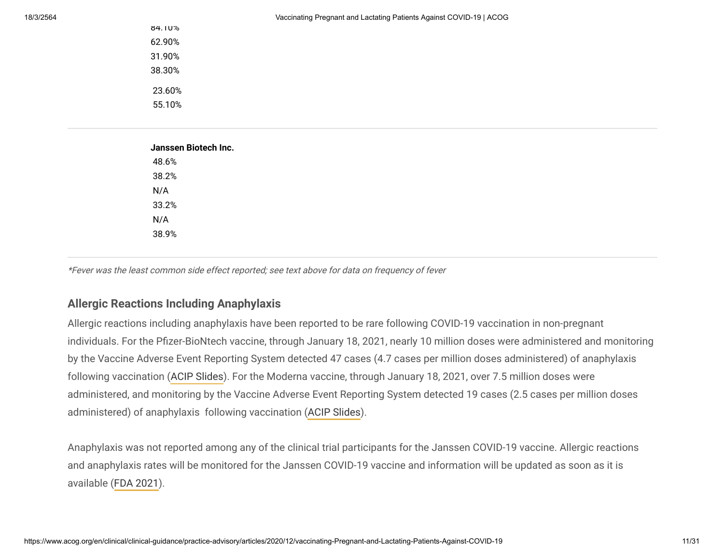84.10% 62.90% 31.90% 38.30% 23.60% 55.10%

| Janssen Biotech Inc. |  |  |  |
|----------------------|--|--|--|
| 48.6%                |  |  |  |
| 38.2%                |  |  |  |
| N/A                  |  |  |  |
| 33.2%                |  |  |  |
| N/A                  |  |  |  |
| 38.9%                |  |  |  |

\*Fever was the least common side effect reported; see text above for data on frequency of fever

### **Allergic Reactions Including Anaphylaxis**

Allergic reactions including anaphylaxis have been reported to be rare following COVID-19 vaccination in non-pregnant individuals. For the Pfizer-BioNtech vaccine, through January 18, 2021, nearly 10 million doses were administered and monitoring by the Vaccine Adverse Event Reporting System detected 47 cases (4.7 cases per million doses administered) of anaphylaxis following vaccination [\(ACIP Slides](https://www.cdc.gov/vaccines/acip/meetings/downloads/slides-2021-01/06-COVID-Shimabukuro.pdf)). For the Moderna vaccine, through January 18, 2021, over 7.5 million doses were administered, and monitoring by the Vaccine Adverse Event Reporting System detected 19 cases (2.5 cases per million doses administered) of anaphylaxis following vaccination [\(ACIP Slides](https://www.cdc.gov/vaccines/acip/meetings/downloads/slides-2021-02/28-03-01/05-covid-Shimabukuro.pdf)).

Anaphylaxis was not reported among any of the clinical trial participants for the Janssen COVID-19 vaccine. Allergic reactions and anaphylaxis rates will be monitored for the Janssen COVID-19 vaccine and information will be updated as soon as it is available ([FDA 2021\)](https://www.fda.gov/media/146219/download).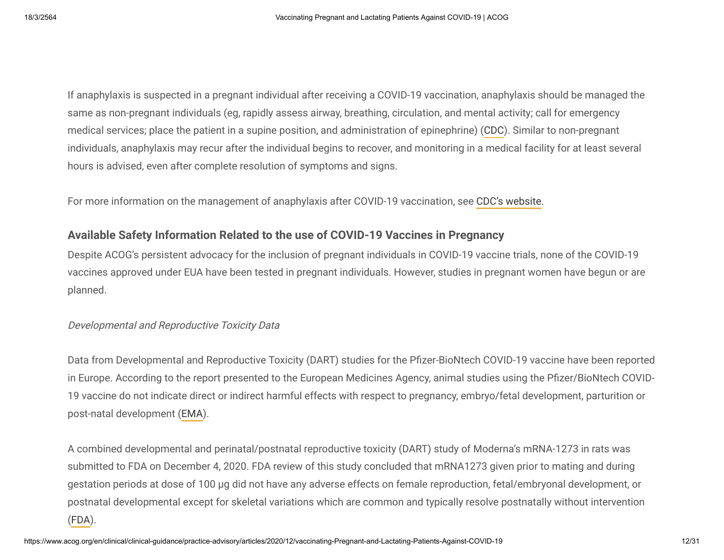If anaphylaxis is suspected in a pregnant individual after receiving a COVID-19 vaccination, anaphylaxis should be managed the same as non-pregnant individuals (eg, rapidly assess airway, breathing, circulation, and mental activity; call for emergency medical services; place the patient in a supine position, and administration of epinephrine) [\(CDC](https://www.cdc.gov/vaccines/covid-19/clinical-considerations/managing-anaphylaxis.html?CDC_AA_refVal=https%3A%2F%2Fwww.cdc.gov%2Fvaccines%2Fcovid-19%2Finfo-by-product%2Fpfizer%2Fanaphylaxis-management.html)). Similar to non-pregnant individuals, anaphylaxis may recur after the individual begins to recover, and monitoring in a medical facility for at least several hours is advised, even after complete resolution of symptoms and signs.

For more information on the management of anaphylaxis after COVID-19 vaccination, see [CDC's website](https://www.cdc.gov/vaccines/covid-19/clinical-considerations/managing-anaphylaxis.html?CDC_AA_refVal=https%3A%2F%2Fwww.cdc.gov%2Fvaccines%2Fcovid-19%2Finfo-by-product%2Fpfizer%2Fanaphylaxis-management.html).

### **Available Safety Information Related to the use of COVID-19 Vaccines in Pregnancy**

Despite ACOG's persistent advocacy for the inclusion of pregnant individuals in COVID-19 vaccine trials, none of the COVID-19 vaccines approved under EUA have been tested in pregnant individuals. However, studies in pregnant women have begun or are planned.

### Developmental and Reproductive Toxicity Data

Data from Developmental and Reproductive Toxicity (DART) studies for the Pfizer-BioNtech COVID-19 vaccine have been reported in Europe. According to the report presented to the European Medicines Agency, animal studies using the Pfizer/BioNtech COVID-19 vaccine do not indicate direct or indirect harmful effects with respect to pregnancy, embryo/fetal development, parturition or post-natal development [\(EMA\)](https://ec.europa.eu/health/documents/community-register/2020/20201221150522/anx_150522_en.pdf).

A combined developmental and perinatal/postnatal reproductive toxicity (DART) study of Moderna's mRNA-1273 in rats was submitted to FDA on December 4, 2020. FDA review of this study concluded that mRNA1273 given prior to mating and during gestation periods at dose of 100 µg did not have any adverse effects on female reproduction, fetal/embryonal development, or postnatal developmental except for skeletal variations which are common and typically resolve postnatally without intervention ([FDA\)](https://www.fda.gov/media/144434/download).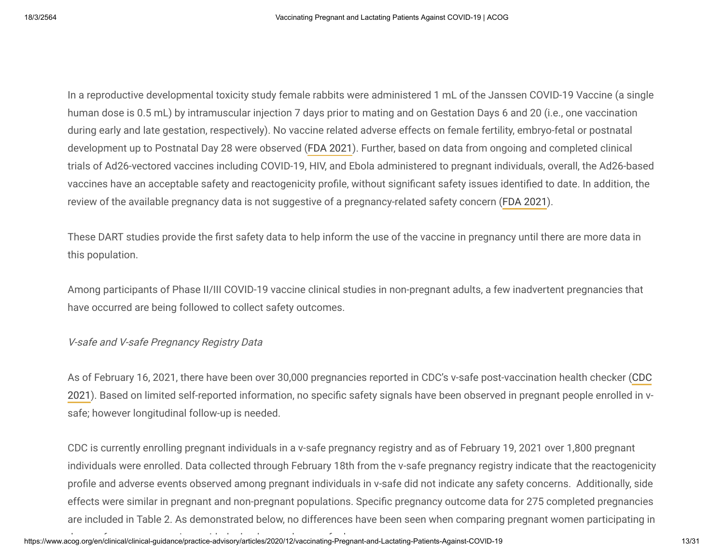In a reproductive developmental toxicity study female rabbits were administered 1 mL of the Janssen COVID-19 Vaccine (a single human dose is 0.5 mL) by intramuscular injection 7 days prior to mating and on Gestation Days 6 and 20 (i.e., one vaccination during early and late gestation, respectively). No vaccine related adverse effects on female fertility, embryo-fetal or postnatal development up to Postnatal Day 28 were observed [\(FDA 2021](https://www.fda.gov/media/146304/download)). Further, based on data from ongoing and completed clinical trials of Ad26-vectored vaccines including COVID-19, HIV, and Ebola administered to pregnant individuals, overall, the Ad26-based vaccines have an acceptable safety and reactogenicity profile, without significant safety issues identified to date. In addition, the review of the available pregnancy data is not suggestive of a pregnancy-related safety concern ([FDA 2021](https://www.fda.gov/media/146219/download)).

These DART studies provide the first safety data to help inform the use of the vaccine in pregnancy until there are more data in this population.

Among participants of Phase II/III COVID-19 vaccine clinical studies in non-pregnant adults, a few inadvertent pregnancies that have occurred are being followed to collect safety outcomes.

#### V-safe and V-safe Pregnancy Registry Data

[As of February 16, 2021, there have been over 30,000 pregnancies reported in CDC's v-safe post-vaccination health checker \(CDC](https://www.cdc.gov/vaccines/acip/meetings/downloads/slides-2021-02/28-03-01/05-covid-Shimabukuro.pdf) 2021). Based on limited self-reported information, no specific safety signals have been observed in pregnant people enrolled in vsafe; however longitudinal follow-up is needed.

CDC is currently enrolling pregnant individuals in a v-safe pregnancy registry and as of February 19, 2021 over 1,800 pregnant individuals were enrolled. Data collected through February 18th from the v-safe pregnancy registry indicate that the reactogenicity profile and adverse events observed among pregnant individuals in v-safe did not indicate any safety concerns. Additionally, side effects were similar in pregnant and non-pregnant populations. Specific pregnancy outcome data for 275 completed pregnancies are included in Table 2. As demonstrated below, no differences have been seen when comparing pregnant women participating in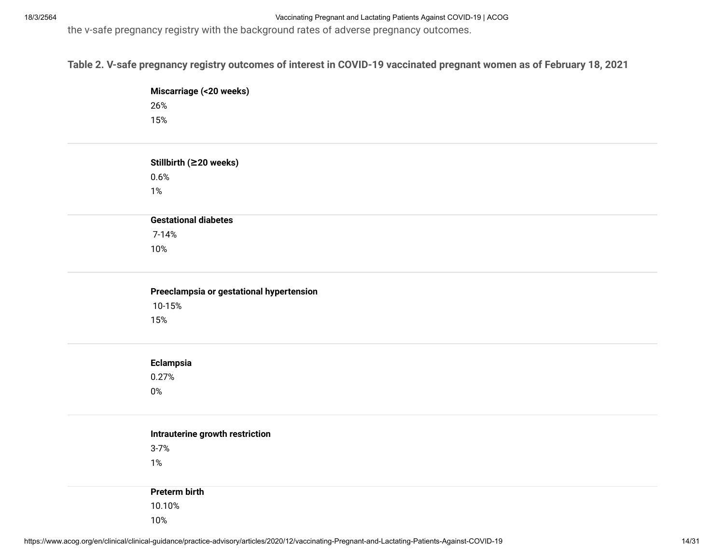the v-safe pregnancy registry with the background rates of adverse pregnancy outcomes.

**Table 2. V-safe pregnancy registry outcomes of interest in COVID-19 vaccinated pregnant women as of February 18, 2021**

| Miscarriage (<20 weeks) |  |
|-------------------------|--|
| 26%                     |  |
| 15%                     |  |

| Stillbirth (≥20 weeks)      |
|-----------------------------|
| 0.6%                        |
| 1%                          |
|                             |
| <b>Gestational diabetes</b> |
| 7-14%                       |
| 10%                         |
|                             |

| Preeclampsia or gestational hypertension |
|------------------------------------------|
| 10-15%                                   |
| 15%                                      |

| <b>Eclampsia</b> |  |
|------------------|--|
| 0.27%            |  |

0%

| Intrauterine growth restriction |
|---------------------------------|
| $3 - 7%$                        |
| 1%                              |
|                                 |
| Preterm birth                   |
| 10.10%                          |
| 10%                             |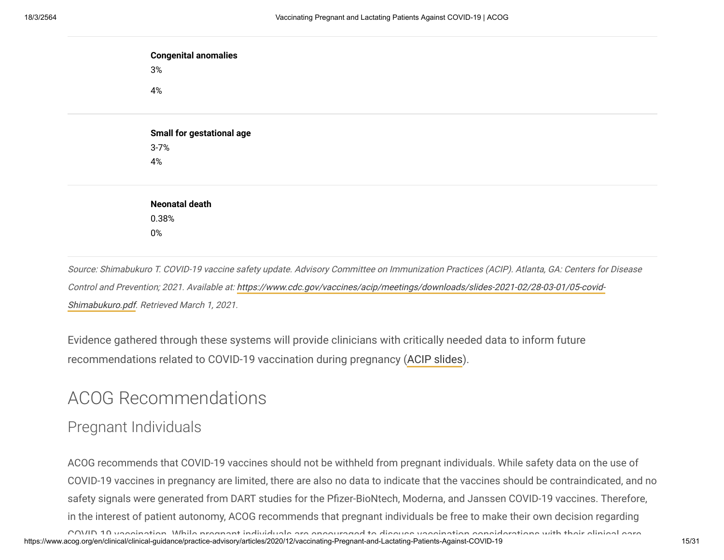| <b>Congenital anomalies</b><br>3%<br>4% |
|-----------------------------------------|
|                                         |
| <b>Small for gestational age</b>        |
| $3 - 7%$                                |
| 4%                                      |
|                                         |
| <b>Neonatal death</b>                   |
| 0.38%                                   |
| $0\%$                                   |
|                                         |

Source: Shimabukuro T. COVID-19 vaccine safety update. Advisory Committee on Immunization Practices (ACIP). Atlanta, GA: Centers for Disease [Control and Prevention; 2021. Available at: https://www.cdc.gov/vaccines/acip/meetings/downloads/slides-2021-02/28-03-01/05-covid-](https://www.cdc.gov/vaccines/acip/meetings/downloads/slides-2021-02/28-03-01/05-covid-Shimabukuro.pdf)Shimabukuro.pdf. Retrieved March 1, 2021.

Evidence gathered through these systems will provide clinicians with critically needed data to inform future recommendations related to COVID-19 vaccination during pregnancy [\(ACIP slides](https://www.cdc.gov/vaccines/acip/meetings/downloads/slides-2021-01/06-COVID-Shimabukuro.pdf)).

# ACOG Recommendations

## Pregnant Individuals

ro\/ID 10 versination While program individuals are anosuraged to diopuse versination considerations with their elinical sero. الالاتصحاح المستحدث المستحدث المستحدث المستحدث المستحدث المستحدث المستحدث المستحدث المستحدث 15 ACOG recommends that COVID-19 vaccines should not be withheld from pregnant individuals. While safety data on the use of COVID-19 vaccines in pregnancy are limited, there are also no data to indicate that the vaccines should be contraindicated, and no safety signals were generated from DART studies for the Pfizer-BioNtech, Moderna, and Janssen COVID-19 vaccines. Therefore, in the interest of patient autonomy, ACOG recommends that pregnant individuals be free to make their own decision regarding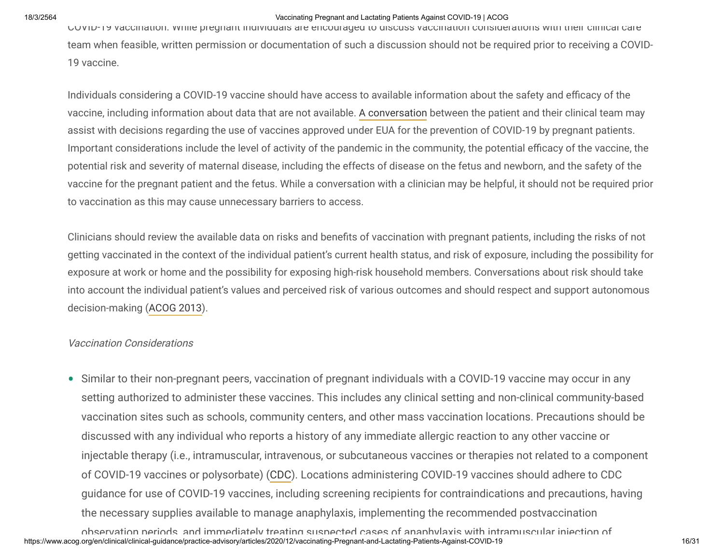COVID-19 vaccination. While pregnant individuals are encouraged to discuss vaccination considerations with their clinical care team when feasible, written permission or documentation of such a discussion should not be required prior to receiving a COVID-19 vaccine.

Individuals considering a COVID-19 vaccine should have access to available information about the safety and efficacy of the vaccine, including information about data that are not available. [A conversation](https://www.acog.org/covid-19/covid-19-vaccines-and-pregnancy-conversation-guide-for-clinicians) between the patient and their clinical team may assist with decisions regarding the use of vaccines approved under EUA for the prevention of COVID-19 by pregnant patients. Important considerations include the level of activity of the pandemic in the community, the potential efficacy of the vaccine, the potential risk and severity of maternal disease, including the effects of disease on the fetus and newborn, and the safety of the vaccine for the pregnant patient and the fetus. While a conversation with a clinician may be helpful, it should not be required prior to vaccination as this may cause unnecessary barriers to access.

Clinicians should review the available data on risks and benefits of vaccination with pregnant patients, including the risks of not getting vaccinated in the context of the individual patient's current health status, and risk of exposure, including the possibility for exposure at work or home and the possibility for exposing high-risk household members. Conversations about risk should take into account the individual patient's values and perceived risk of various outcomes and should respect and support autonomous decision-making [\(ACOG 2013\)](https://journals.lww.com/greenjournal/Fulltext/2013/05000/Committee_Opinion__No__563__Ethical_Issues_in.47.aspx).

#### Vaccination Considerations

Similar to their non-pregnant peers, vaccination of pregnant individuals with a COVID-19 vaccine may occur in any •setting authorized to administer these vaccines. This includes any clinical setting and non-clinical community-based vaccination sites such as schools, community centers, and other mass vaccination locations. Precautions should be discussed with any individual who reports a history of any immediate allergic reaction to any other vaccine or injectable therapy (i.e., intramuscular, intravenous, or subcutaneous vaccines or therapies not related to a component of COVID-19 vaccines or polysorbate) [\(CDC](https://www.cdc.gov/vaccines/covid-19/info-by-product/clinical-considerations.html#Contraindications)). Locations administering COVID-19 vaccines should adhere to CDC guidance for use of COVID-19 vaccines, including screening recipients for contraindications and precautions, having the necessary supplies available to manage anaphylaxis, implementing the recommended postvaccination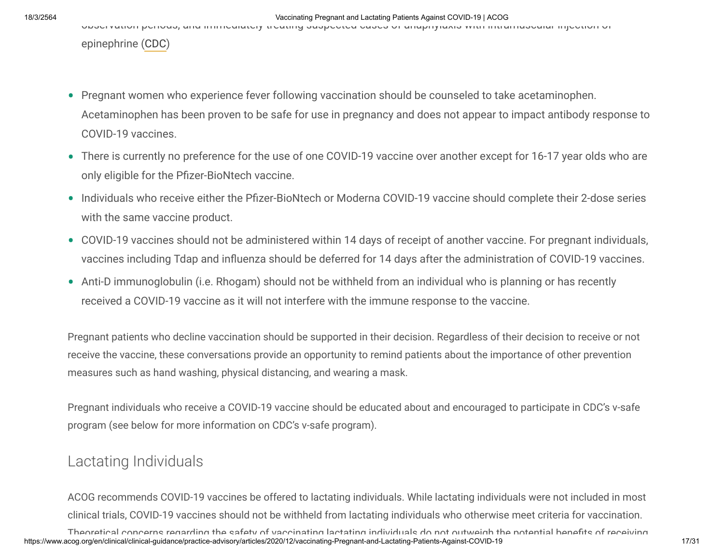observation periods, and immediately treating suspected cases of anaphylaxis with intramuscular injection of

epinephrine [\(CDC\)](https://www.cdc.gov/mmwr/volumes/70/wr/mm7002e1.htm)

- Pregnant women who experience fever following vaccination should be counseled to take acetaminophen. Acetaminophen has been proven to be safe for use in pregnancy and does not appear to impact antibody response to COVID-19 vaccines.
- There is currently no preference for the use of one COVID-19 vaccine over another except for 16-17 year olds who are only eligible for the Pfizer-BioNtech vaccine.
- Individuals who receive either the Pfizer-BioNtech or Moderna COVID-19 vaccine should complete their 2-dose series with the same vaccine product.
- COVID-19 vaccines should not be administered within 14 days of receipt of another vaccine. For pregnant individuals, vaccines including Tdap and influenza should be deferred for 14 days after the administration of COVID-19 vaccines.
- Anti-D immunoglobulin (i.e. Rhogam) should not be withheld from an individual who is planning or has recently •received a COVID-19 vaccine as it will not interfere with the immune response to the vaccine.

Pregnant patients who decline vaccination should be supported in their decision. Regardless of their decision to receive or not receive the vaccine, these conversations provide an opportunity to remind patients about the importance of other prevention measures such as hand washing, physical distancing, and wearing a mask.

Pregnant individuals who receive a COVID-19 vaccine should be educated about and encouraged to participate in CDC's v-safe program (see below for more information on CDC's v-safe program).

## Lactating Individuals

ACOG recommends COVID-19 vaccines be offered to lactating individuals. While lactating individuals were not included in most clinical trials, COVID-19 vaccines should not be withheld from lactating individuals who otherwise meet criteria for vaccination.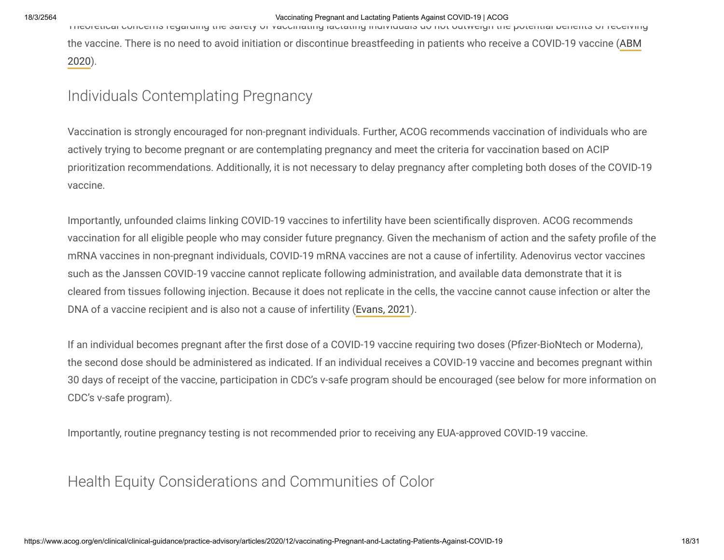Theoretical concerns regarding the safety of vaccinating lactating individuals do not outweigh the potential benets of receiving [the vaccine. There is no need to avoid initiation or discontinue breastfeeding in patients who receive a COVID-19 vaccine \(ABM](https://abm.memberclicks.net/abm-statement-considerations-for-covid-19-vaccination-in-lactation) 2020).

## Individuals Contemplating Pregnancy

Vaccination is strongly encouraged for non-pregnant individuals. Further, ACOG recommends vaccination of individuals who are actively trying to become pregnant or are contemplating pregnancy and meet the criteria for vaccination based on ACIP prioritization recommendations. Additionally, it is not necessary to delay pregnancy after completing both doses of the COVID-19 vaccine.

Importantly, unfounded claims linking COVID-19 vaccines to infertility have been scientifically disproven. ACOG recommends vaccination for all eligible people who may consider future pregnancy. Given the mechanism of action and the safety profile of the mRNA vaccines in non-pregnant individuals, COVID-19 mRNA vaccines are not a cause of infertility. Adenovirus vector vaccines such as the Janssen COVID-19 vaccine cannot replicate following administration, and available data demonstrate that it is cleared from tissues following injection. Because it does not replicate in the cells, the vaccine cannot cause infection or alter the DNA of a vaccine recipient and is also not a cause of infertility [\(Evans, 2021](https://www.fertstertdialog.com/posts/covid-19-vaccine-and-infertility-baseless-claims-and-unfounded-social-media-panic)).

If an individual becomes pregnant after the first dose of a COVID-19 vaccine requiring two doses (Pfizer-BioNtech or Moderna), the second dose should be administered as indicated. If an individual receives a COVID-19 vaccine and becomes pregnant within 30 days of receipt of the vaccine, participation in CDC's v-safe program should be encouraged (see below for more information on CDC's v-safe program).

Importantly, routine pregnancy testing is not recommended prior to receiving any EUA-approved COVID-19 vaccine.

## Health Equity Considerations and Communities of Color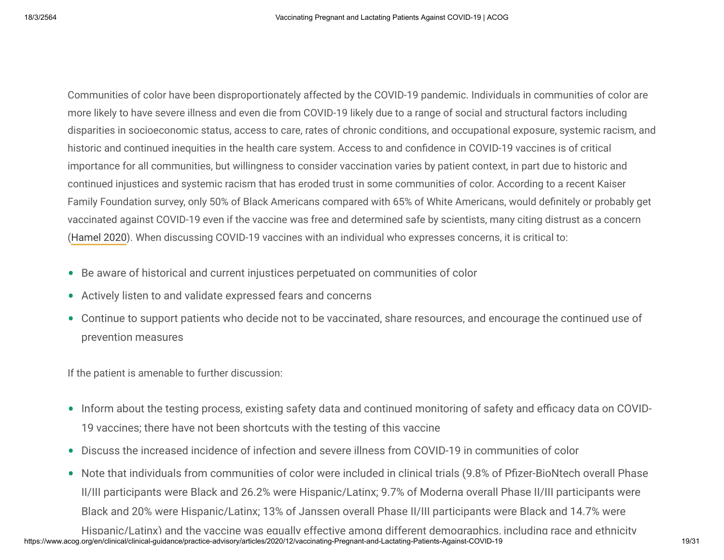Communities of color have been disproportionately affected by the COVID-19 pandemic. Individuals in communities of color are more likely to have severe illness and even die from COVID-19 likely due to a range of social and structural factors including disparities in socioeconomic status, access to care, rates of chronic conditions, and occupational exposure, systemic racism, and historic and continued inequities in the health care system. Access to and confidence in COVID-19 vaccines is of critical importance for all communities, but willingness to consider vaccination varies by patient context, in part due to historic and continued injustices and systemic racism that has eroded trust in some communities of color. According to a recent Kaiser Family Foundation survey, only 50% of Black Americans compared with 65% of White Americans, would definitely or probably get vaccinated against COVID-19 even if the vaccine was free and determined safe by scientists, many citing distrust as a concern ([Hamel 2020](https://www.kff.org/report-section/kff-the-undefeated-survey-on-race-and-health-main-findings/#COVID-19Vaccine)). When discussing COVID-19 vaccines with an individual who expresses concerns, it is critical to:

- Be aware of historical and current injustices perpetuated on communities of color •
- Actively listen to and validate expressed fears and concerns
- Continue to support patients who decide not to be vaccinated, share resources, and encourage the continued use of prevention measures

If the patient is amenable to further discussion:

- Inform about the testing process, existing safety data and continued monitoring of safety and efficacy data on COVID-19 vaccines; there have not been shortcuts with the testing of this vaccine
- Discuss the increased incidence of infection and severe illness from COVID-19 in communities of color •
- Note that individuals from communities of color were included in clinical trials (9.8% of Pfizer-BioNtech overall Phase II/III participants were Black and 26.2% were Hispanic/Latinx; 9.7% of Moderna overall Phase II/III participants were Black and 20% were Hispanic/Latinx; 13% of Janssen overall Phase II/III participants were Black and 14.7% were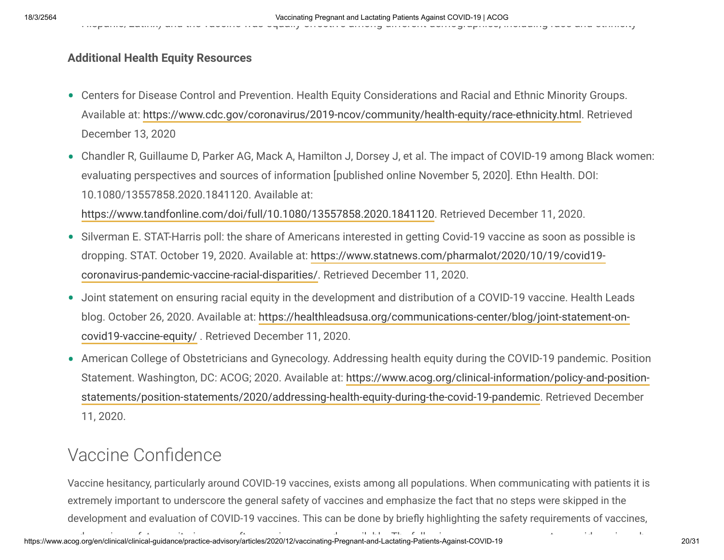Hispanic/Latinx) and the vaccine was equally effective among different demographics, including race and ethnicity

### **Additional Health Equity Resources**

- Centers for Disease Control and Prevention. Health Equity Considerations and Racial and Ethnic Minority Groups. Available at:<https://www.cdc.gov/coronavirus/2019-ncov/community/health-equity/race-ethnicity.html>. Retrieved December 13, 2020
- Chandler R, Guillaume D, Parker AG, Mack A, Hamilton J, Dorsey J, et al. The impact of COVID-19 among Black women: evaluating perspectives and sources of information [published online November 5, 2020]. Ethn Health. DOI: 10.1080/13557858.2020.1841120. Available at:

<https://www.tandfonline.com/doi/full/10.1080/13557858.2020.1841120>. Retrieved December 11, 2020.

- Silverman E. STAT-Harris poll: the share of Americans interested in getting Covid-19 vaccine as soon as possible is [dropping. STAT. October 19, 2020. Available at: https://www.statnews.com/pharmalot/2020/10/19/covid19](https://www.statnews.com/pharmalot/2020/10/19/covid19-coronavirus-pandemic-vaccine-racial-disparities/) coronavirus-pandemic-vaccine-racial-disparities/. Retrieved December 11, 2020.
- Joint statement on ensuring racial equity in the development and distribution of a COVID-19 vaccine. Health Leads [blog. October 26, 2020. Available at: https://healthleadsusa.org/communications-center/blog/joint-statement-on](https://healthleadsusa.org/communications-center/blog/joint-statement-on-covid19-vaccine-equity/)covid19-vaccine-equity/ . Retrieved December 11, 2020.
- American College of Obstetricians and Gynecology. Addressing health equity during the COVID-19 pandemic. Position •[Statement. Washington, DC: ACOG; 2020. Available at: https://www.acog.org/clinical-information/policy-and-position](https://www.acog.org/clinical-information/policy-and-position-statements/position-statements/2020/addressing-health-equity-during-the-covid-19-pandemic)statements/position-statements/2020/addressing-health-equity-during-the-covid-19-pandemic. Retrieved December 11, 2020.

# Vaccine Confidence

Vaccine hesitancy, particularly around COVID-19 vaccines, exists among all populations. When communicating with patients it is extremely important to underscore the general safety of vaccines and emphasize the fact that no steps were skipped in the development and evaluation of COVID-19 vaccines. This can be done by briefly highlighting the safety requirements of vaccines,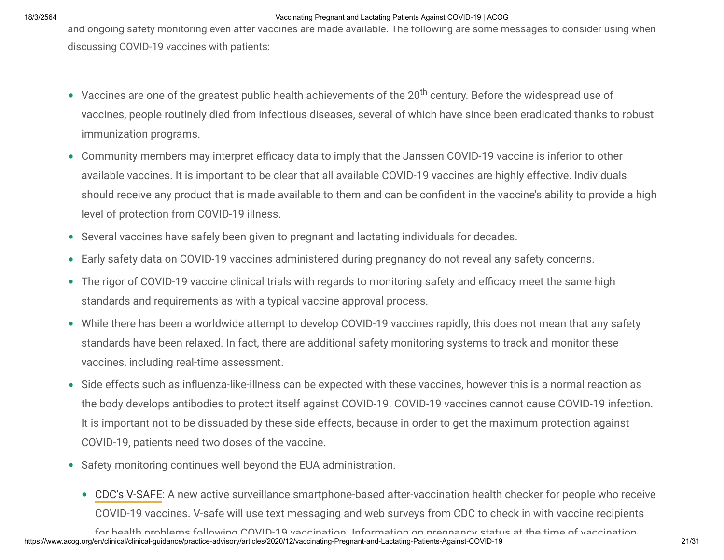and ongoing safety monitoring even after vaccines are made available. The following are some messages to consider using when discussing COVID-19 vaccines with patients:

- Vaccines are one of the greatest public health achievements of the  $20^{th}$  century. Before the widespread use of vaccines, people routinely died from infectious diseases, several of which have since been eradicated thanks to robust immunization programs.
- Community members may interpret efficacy data to imply that the Janssen COVID-19 vaccine is inferior to other available vaccines. It is important to be clear that all available COVID-19 vaccines are highly effective. Individuals should receive any product that is made available to them and can be confident in the vaccine's ability to provide a high level of protection from COVID-19 illness.
- Several vaccines have safely been given to pregnant and lactating individuals for decades. •
- Early safety data on COVID-19 vaccines administered during pregnancy do not reveal any safety concerns. •
- The rigor of COVID-19 vaccine clinical trials with regards to monitoring safety and efficacy meet the same high standards and requirements as with a typical vaccine approval process.
- While there has been a worldwide attempt to develop COVID-19 vaccines rapidly, this does not mean that any safety standards have been relaxed. In fact, there are additional safety monitoring systems to track and monitor these vaccines, including real-time assessment.
- Side effects such as influenza-like-illness can be expected with these vaccines, however this is a normal reaction as the body develops antibodies to protect itself against COVID-19. COVID-19 vaccines cannot cause COVID-19 infection. It is important not to be dissuaded by these side effects, because in order to get the maximum protection against COVID-19, patients need two doses of the vaccine.
- Safety monitoring continues well beyond the EUA administration.
	- [CDC's V-SAFE](https://www.cdc.gov/vaccines/acip/meetings/downloads/slides-2020-09/COVID-03-Shimabukuro.pdf): A new active surveillance smartphone-based after-vaccination health checker for people who receive COVID-19 vaccines. V-safe will use text messaging and web surveys from CDC to check in with vaccine recipients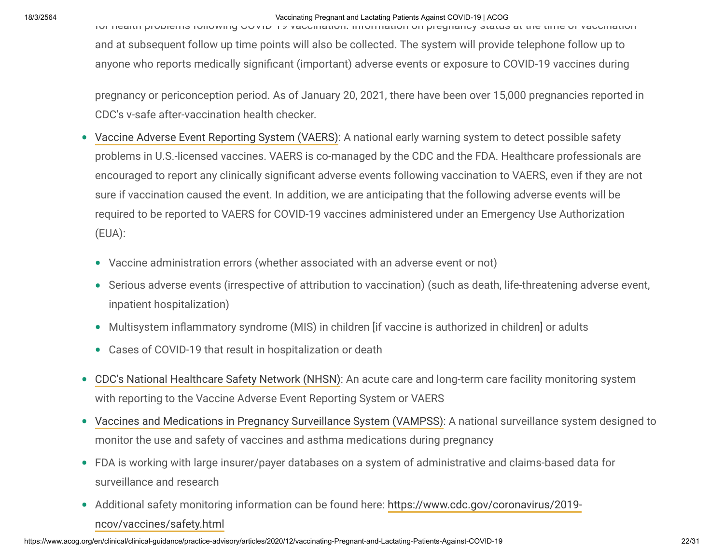for health problems following COVID 19 vaccination. Information on pregnancy status at the time of vaccination and at subsequent follow up time points will also be collected. The system will provide telephone follow up to anyone who reports medically signicant (important) adverse events or exposure to COVID-19 vaccines during

pregnancy or periconception period. As of January 20, 2021, there have been over 15,000 pregnancies reported in CDC's v-safe after-vaccination health checker.

- [Vaccine Adverse Event Reporting System \(VAERS\)](https://vaers.hhs.gov/index.html): A national early warning system to detect possible safety problems in U.S.-licensed vaccines. VAERS is co-managed by the CDC and the FDA. Healthcare professionals are encouraged to report any clinically significant adverse events following vaccination to VAERS, even if they are not sure if vaccination caused the event. In addition, we are anticipating that the following adverse events will be required to be reported to VAERS for COVID-19 vaccines administered under an Emergency Use Authorization (EUA):  $\bullet$ 
	- Vaccine administration errors (whether associated with an adverse event or not) •
	- Serious adverse events (irrespective of attribution to vaccination) (such as death, life-threatening adverse event, inpatient hospitalization)
	- Multisystem inflammatory syndrome (MIS) in children [if vaccine is authorized in children] or adults
	- Cases of COVID-19 that result in hospitalization or death •
- [CDC's National Healthcare Safety Network \(NHSN\)](https://www.cdc.gov/nhsn/index.html): An acute care and long-term care facility monitoring system with reporting to the Vaccine Adverse Event Reporting System or VAERS  $\bullet$
- [Vaccines and Medications in Pregnancy Surveillance System \(VAMPSS\):](https://www.aaaai.org/about-aaaai/strategic-relationships/vampss/vampss-consumer) A national surveillance system designed to monitor the use and safety of vaccines and asthma medications during pregnancy
- FDA is working with large insurer/payer databases on a system of administrative and claims-based data for surveillance and research
- [Additional safety monitoring information can be found here: https://www.cdc.gov/coronavirus/2019](https://www.cdc.gov/coronavirus/2019-ncov/vaccines/safety.html) ncov/vaccines/safety.html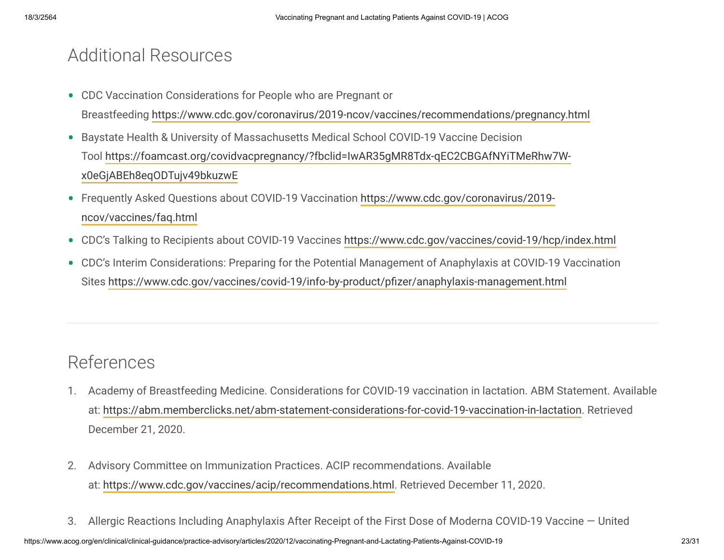## Additional Resources

- CDC Vaccination Considerations for People who are Pregnant or Breastfeeding<https://www.cdc.gov/coronavirus/2019-ncov/vaccines/recommendations/pregnancy.html>
- Baystate Health & University of Massachusetts Medical School COVID-19 Vaccine Decision [Tool https://foamcast.org/covidvacpregnancy/?fbclid=IwAR35gMR8Tdx-qEC2CBGAfNYiTMeRhw7W](https://foamcast.org/covidvacpregnancy/?fbclid=IwAR35gMR8Tdx-qEC2CBGAfNYiTMeRhw7W-x0eGjABEh8eqODTujv49bkuzwE)x0eGjABEh8eqODTujv49bkuzwE
- [Frequently Asked Questions about COVID-19 Vaccination https://www.cdc.gov/coronavirus/2019](https://www.cdc.gov/coronavirus/2019-ncov/vaccines/faq.html) ncov/vaccines/faq.html
- CDC's Talking to Recipients about COVID-19 Vaccines<https://www.cdc.gov/vaccines/covid-19/hcp/index.html> •
- CDC's Interim Considerations: Preparing for the Potential Management of Anaphylaxis at COVID-19 Vaccination Sites https://www.cdc.gov/vaccines/covid-19/info-by-product/pfizer/anaphylaxis-management.html

# References

- Academy of Breastfeeding Medicine. Considerations for COVID-19 vaccination in lactation. ABM Statement. Available 1. at: <https://abm.memberclicks.net/abm-statement-considerations-for-covid-19-vaccination-in-lactation>. Retrieved December 21, 2020.
- Advisory Committee on Immunization Practices. ACIP recommendations. Available 2. at: [https://www.cdc.gov/vaccines/acip/recommendations.html.](https://www.cdc.gov/vaccines/acip/recommendations.html) Retrieved December 11, 2020.
- 3. Allergic Reactions Including Anaphylaxis After Receipt of the First Dose of Moderna COVID-19 Vaccine United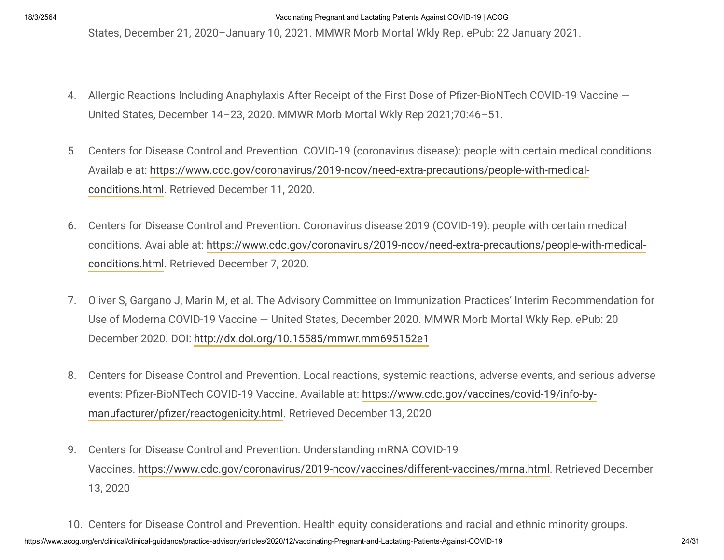States, December 21, 2020–January 10, 2021. MMWR Morb Mortal Wkly Rep. ePub: 22 January 2021.

- 4. Allergic Reactions Including Anaphylaxis After Receipt of the First Dose of Pfizer-BioNTech COVID-19 Vaccine United States, December 14–23, 2020. MMWR Morb Mortal Wkly Rep 2021;70:46–51.
- Centers for Disease Control and Prevention. COVID-19 (coronavirus disease): people with certain medical conditions. 5. [Available at: https://www.cdc.gov/coronavirus/2019-ncov/need-extra-precautions/people-with-medical](https://www.cdc.gov/coronavirus/2019-ncov/need-extra-precautions/people-with-medical-conditions.html)conditions.html. Retrieved December 11, 2020.
- Centers for Disease Control and Prevention. Coronavirus disease 2019 (COVID-19): people with certain medical 6. [conditions. Available at: https://www.cdc.gov/coronavirus/2019-ncov/need-extra-precautions/people-with-medical](https://www.cdc.gov/coronavirus/2019-ncov/need-extra-precautions/people-with-medical-conditions.html)conditions.html. Retrieved December 7, 2020.
- 7. Oliver S, Gargano J, Marin M, et al. The Advisory Committee on Immunization Practices' Interim Recommendation for Use of Moderna COVID-19 Vaccine — United States, December 2020. MMWR Morb Mortal Wkly Rep. ePub: 20 December 2020. DOI:<http://dx.doi.org/10.15585/mmwr.mm695152e1>
- Centers for Disease Control and Prevention. Local reactions, systemic reactions, adverse events, and serious adverse 8. events: Pfizer-BioNTech COVID-19 Vaccine. Available at: https://www.cdc.gov/vaccines/covid-19/info-bymanufacturer/pfizer/reactogenicity.html. Retrieved December 13, 2020
- Centers for Disease Control and Prevention. Understanding mRNA COVID-19 9. Vaccines.<https://www.cdc.gov/coronavirus/2019-ncov/vaccines/different-vaccines/mrna.html>. Retrieved December 13, 2020
- https://www.acog.org/en/clinical/clinical-guidance/practice-advisory/articles/2020/12/vaccinating-Pregnant-and-Lactating-Patients-Against-COVID-19 24/31 10. Centers for Disease Control and Prevention. Health equity considerations and racial and ethnic minority groups.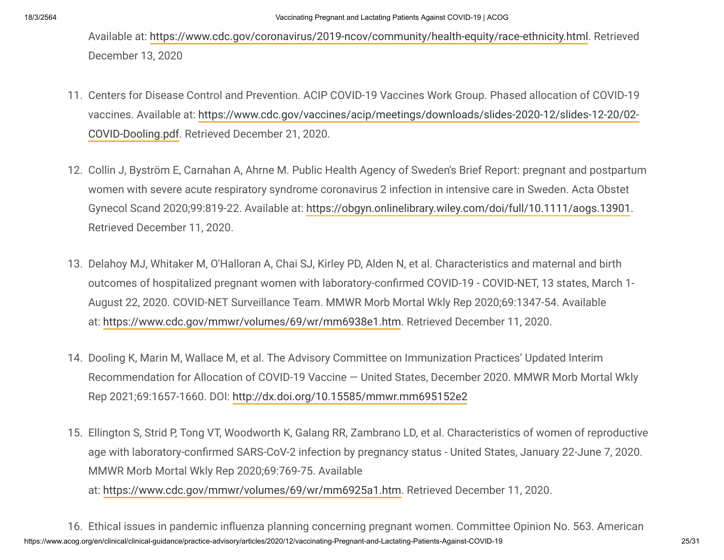Available at: <https://www.cdc.gov/coronavirus/2019-ncov/community/health-equity/race-ethnicity.html>. Retrieved December 13, 2020

- 11. Centers for Disease Control and Prevention. ACIP COVID-19 Vaccines Work Group. Phased allocation of COVID-19 [vaccines. Available at: https://www.cdc.gov/vaccines/acip/meetings/downloads/slides-2020-12/slides-12-20/02-](https://www.cdc.gov/vaccines/acip/meetings/downloads/slides-2020-12/slides-12-20/02-COVID-Dooling.pdf) COVID-Dooling.pdf. Retrieved December 21, 2020.
- 12. Collin J, Byström E, Carnahan A, Ahrne M. Public Health Agency of Sweden's Brief Report: pregnant and postpartum women with severe acute respiratory syndrome coronavirus 2 infection in intensive care in Sweden. Acta Obstet Gynecol Scand 2020;99:819-22. Available at: [https://obgyn.onlinelibrary.wiley.com/doi/full/10.1111/aogs.13901.](https://obgyn.onlinelibrary.wiley.com/doi/full/10.1111/aogs.13901) Retrieved December 11, 2020.
- 13. Delahoy MJ, Whitaker M, O'Halloran A, Chai SJ, Kirley PD, Alden N, et al. Characteristics and maternal and birth outcomes of hospitalized pregnant women with laboratory-confirmed COVID-19 - COVID-NET, 13 states, March 1-August 22, 2020. COVID-NET Surveillance Team. MMWR Morb Mortal Wkly Rep 2020;69:1347-54. Available at: <https://www.cdc.gov/mmwr/volumes/69/wr/mm6938e1.htm>. Retrieved December 11, 2020.
- 14. Dooling K, Marin M, Wallace M, et al. The Advisory Committee on Immunization Practices' Updated Interim Recommendation for Allocation of COVID-19 Vaccine — United States, December 2020. MMWR Morb Mortal Wkly Rep 2021;69:1657-1660. DOI: <http://dx.doi.org/10.15585/mmwr.mm695152e2>
- Ellington S, Strid P, Tong VT, Woodworth K, Galang RR, Zambrano LD, et al. Characteristics of women of reproductive 15. age with laboratory-confirmed SARS-CoV-2 infection by pregnancy status - United States, January 22-June 7, 2020. MMWR Morb Mortal Wkly Rep 2020;69:769-75. Available
	- at: [https://www.cdc.gov/mmwr/volumes/69/wr/mm6925a1.htm.](https://www.cdc.gov/mmwr/volumes/69/wr/mm6925a1.htm) Retrieved December 11, 2020.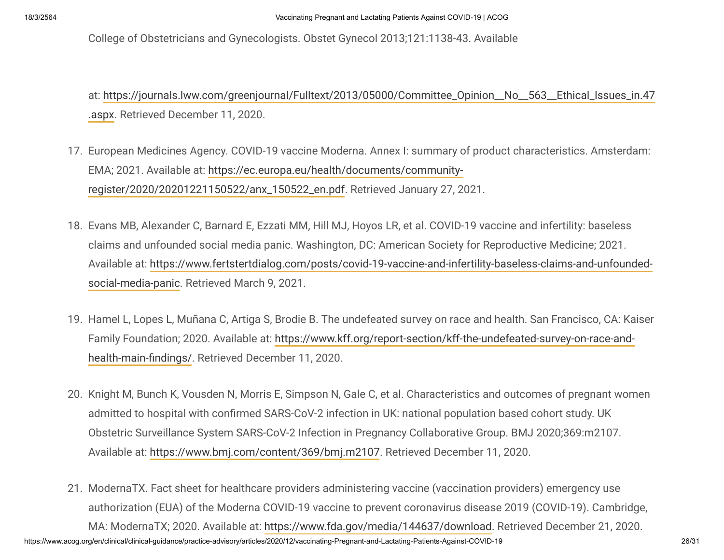College of Obstetricians and Gynecologists. Obstet Gynecol 2013;121:1138-43. Available

[at: https://journals.lww.com/greenjournal/Fulltext/2013/05000/Committee\\_Opinion\\_\\_No\\_\\_563\\_\\_Ethical\\_Issues\\_in.47](https://journals.lww.com/greenjournal/Fulltext/2013/05000/Committee_Opinion__No__563__Ethical_Issues_in.47.aspx) .aspx. Retrieved December 11, 2020.

- 17. European Medicines Agency. COVID-19 vaccine Moderna. Annex I: summary of product characteristics. Amsterdam: EMA; 2021. Available at: https://ec.europa.eu/health/documents/community[register/2020/20201221150522/anx\\_150522\\_en.pdf. Retrieved January 27, 2](https://ec.europa.eu/health/documents/community-register/2020/20201221150522/anx_150522_en.pdf)021.
- Evans MB, Alexander C, Barnard E, Ezzati MM, Hill MJ, Hoyos LR, et al. COVID-19 vaccine and infertility: baseless 18. claims and unfounded social media panic. Washington, DC: American Society for Reproductive Medicine; 2021. [Available at: https://www.fertstertdialog.com/posts/covid-19-vaccine-and-infertility-baseless-claims-and-unfounded](https://www.fertstertdialog.com/posts/covid-19-vaccine-and-infertility-baseless-claims-and-unfounded-social-media-panic)social-media-panic. Retrieved March 9, 2021.
- 19. Hamel L, Lopes L, Muñana C, Artiga S, Brodie B. The undefeated survey on race and health. San Francisco, CA: Kaiser [Family Foundation; 2020. Available at: https://www.kff.org/report-section/kff-the-undefeated-survey-on-race-and](https://www.kff.org/report-section/kff-the-undefeated-survey-on-race-and-health-main-findings/)health-main-findings/. Retrieved December 11, 2020.
- 20. Knight M, Bunch K, Vousden N, Morris E, Simpson N, Gale C, et al. Characteristics and outcomes of pregnant women admitted to hospital with confirmed SARS-CoV-2 infection in UK: national population based cohort study. UK Obstetric Surveillance System SARS-CoV-2 Infection in Pregnancy Collaborative Group. BMJ 2020;369:m2107. Available at: <https://www.bmj.com/content/369/bmj.m2107>. Retrieved December 11, 2020.
- https://www.acog.org/en/clinical/clinical-guidance/practice-advisory/articles/2020/12/vaccinating-Pregnant-and-Lactating-Patients-Against-COVID-19 26/31 21. ModernaTX. Fact sheet for healthcare providers administering vaccine (vaccination providers) emergency use authorization (EUA) of the Moderna COVID-19 vaccine to prevent coronavirus disease 2019 (COVID-19). Cambridge, MA: ModernaTX; 2020. Available at: [https://www.fda.gov/media/144637/download.](https://www.fda.gov/media/144637/download) Retrieved December 21, 2020.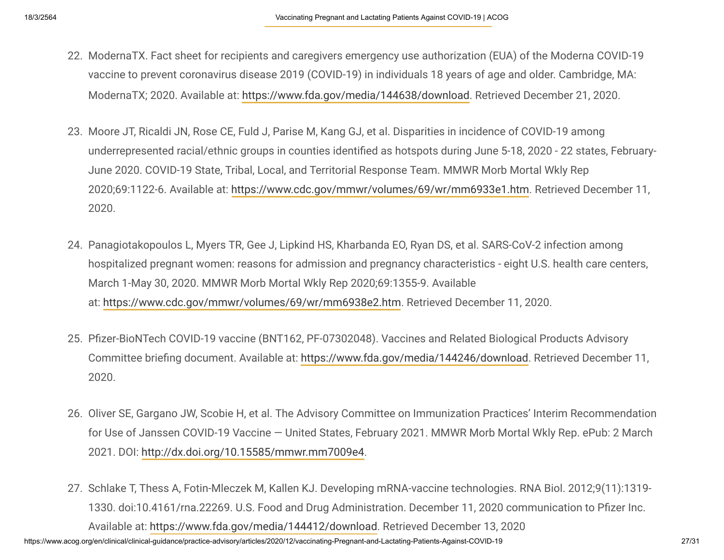- 22. ModernaTX. Fact sheet for recipients and caregivers emergency use authorization (EUA) of the Moderna COVID-19 vaccine to prevent coronavirus disease 2019 (COVID-19) in individuals 18 years of age and older. Cambridge, MA: ModernaTX; 2020. Available at: [https://www.fda.gov/media/144638/download.](https://www.fda.gov/media/144638/download) Retrieved December 21, 2020.
- 23. Moore JT, Ricaldi JN, Rose CE, Fuld J, Parise M, Kang GJ, et al. Disparities in incidence of COVID-19 among underrepresented racial/ethnic groups in counties identified as hotspots during June 5-18, 2020 - 22 states, February-June 2020. COVID-19 State, Tribal, Local, and Territorial Response Team. MMWR Morb Mortal Wkly Rep 2020;69:1122-6. Available at: [https://www.cdc.gov/mmwr/volumes/69/wr/mm6933e1.htm.](https://www.cdc.gov/mmwr/volumes/69/wr/mm6933e1.htm) Retrieved December 11, 2020.
- Panagiotakopoulos L, Myers TR, Gee J, Lipkind HS, Kharbanda EO, Ryan DS, et al. SARS-CoV-2 infection among 24. hospitalized pregnant women: reasons for admission and pregnancy characteristics - eight U.S. health care centers, March 1-May 30, 2020. MMWR Morb Mortal Wkly Rep 2020;69:1355-9. Available at: <https://www.cdc.gov/mmwr/volumes/69/wr/mm6938e2.htm>. Retrieved December 11, 2020.
- 25. Pfizer-BioNTech COVID-19 vaccine (BNT162, PF-07302048). Vaccines and Related Biological Products Advisory Committee briefing document. Available at: [https://www.fda.gov/media/144246/download.](https://www.fda.gov/media/144246/download) Retrieved December 11, 2020.
- 26. Oliver SE, Gargano JW, Scobie H, et al. The Advisory Committee on Immunization Practices' Interim Recommendation for Use of Janssen COVID-19 Vaccine — United States, February 2021. MMWR Morb Mortal Wkly Rep. ePub: 2 March 2021. DOI: [http://dx.doi.org/10.15585/mmwr.mm7009e4.](http://dx.doi.org/10.15585/mmwr.mm7009e4)
- 27. Schlake T, Thess A, Fotin-Mleczek M, Kallen KJ. Developing mRNA-vaccine technologies. RNA Biol. 2012;9(11):1319-1330. doi:10.4161/rna.22269. U.S. Food and Drug Administration. December 11, 2020 communication to Pfizer Inc. Available at: [https://www.fda.gov/media/144412/download.](https://www.fda.gov/media/144412/download) Retrieved December 13, 2020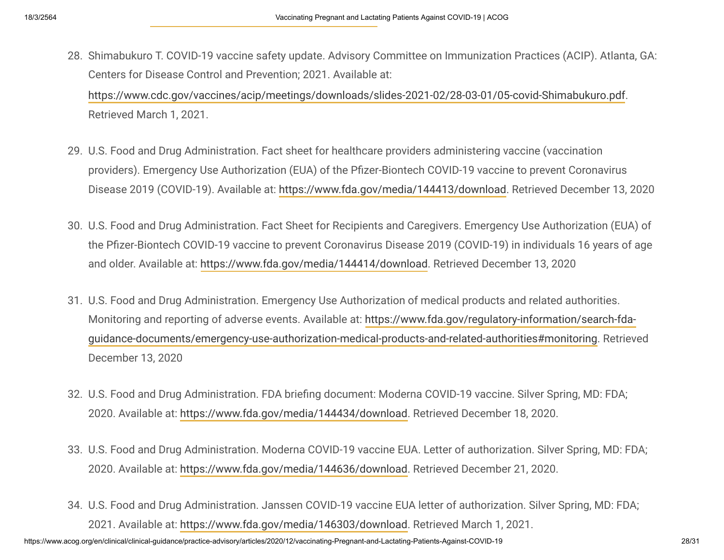28. Shimabukuro T. COVID-19 vaccine safety update. Advisory Committee on Immunization Practices (ACIP). Atlanta, GA: Centers for Disease Control and Prevention; 2021. Available at:

<https://www.cdc.gov/vaccines/acip/meetings/downloads/slides-2021-02/28-03-01/05-covid-Shimabukuro.pdf>. Retrieved March 1, 2021.

- U.S. Food and Drug Administration. Fact sheet for healthcare providers administering vaccine (vaccination 29. providers). Emergency Use Authorization (EUA) of the Pfizer-Biontech COVID-19 vaccine to prevent Coronavirus Disease 2019 (COVID-19). Available at: [https://www.fda.gov/media/144413/download.](https://www.fda.gov/media/144413/download) Retrieved December 13, 2020
- 30. U.S. Food and Drug Administration. Fact Sheet for Recipients and Caregivers. Emergency Use Authorization (EUA) of the Pfizer-Biontech COVID-19 vaccine to prevent Coronavirus Disease 2019 (COVID-19) in individuals 16 years of age and older. Available at: [https://www.fda.gov/media/144414/download.](https://www.fda.gov/media/144414/download) Retrieved December 13, 2020
- U.S. Food and Drug Administration. Emergency Use Authorization of medical products and related authorities. 31. Monitoring and reporting of adverse events. Available at: https://www.fda.gov/regulatory-information/search-fda[guidance-documents/emergency-use-authorization-medical-products-and-related-authorities#monitoring. Retriev](https://www.fda.gov/regulatory-information/search-fda-guidance-documents/emergency-use-authorization-medical-products-and-related-authorities#monitoring)ed December 13, 2020
- 32. U.S. Food and Drug Administration. FDA briefing document: Moderna COVID-19 vaccine. Silver Spring, MD: FDA; 2020. Available at: [https://www.fda.gov/media/144434/download.](https://www.fda.gov/media/144434/download) Retrieved December 18, 2020.
- U.S. Food and Drug Administration. Moderna COVID-19 vaccine EUA. Letter of authorization. Silver Spring, MD: FDA; 33. 2020. Available at: [https://www.fda.gov/media/144636/download.](https://www.fda.gov/media/144636/download) Retrieved December 21, 2020.
- U.S. Food and Drug Administration. Janssen COVID-19 vaccine EUA letter of authorization. Silver Spring, MD: FDA; 34.2021. Available at: [https://www.fda.gov/media/146303/download.](https://www.fda.gov/media/146303/download) Retrieved March 1, 2021.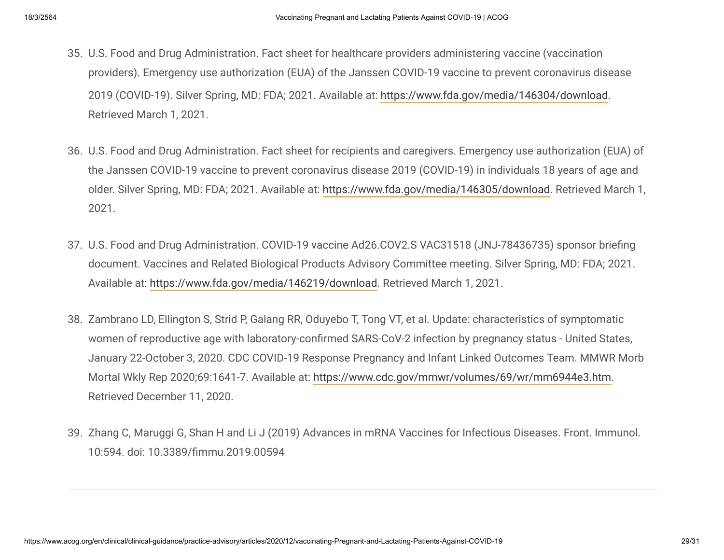- U.S. Food and Drug Administration. Fact sheet for healthcare providers administering vaccine (vaccination 35. providers). Emergency use authorization (EUA) of the Janssen COVID-19 vaccine to prevent coronavirus disease 2019 (COVID-19). Silver Spring, MD: FDA; 2021. Available at:<https://www.fda.gov/media/146304/download>. Retrieved March 1, 2021.
- U.S. Food and Drug Administration. Fact sheet for recipients and caregivers. Emergency use authorization (EUA) of 36. the Janssen COVID-19 vaccine to prevent coronavirus disease 2019 (COVID-19) in individuals 18 years of age and older. Silver Spring, MD: FDA; 2021. Available at: [https://www.fda.gov/media/146305/download.](https://www.fda.gov/media/146305/download) Retrieved March 1, 2021.
- 37. U.S. Food and Drug Administration. COVID-19 vaccine Ad26.COV2.S VAC31518 (JNJ-78436735) sponsor briefing document. Vaccines and Related Biological Products Advisory Committee meeting. Silver Spring, MD: FDA; 2021. Available at: [https://www.fda.gov/media/146219/download.](https://www.fda.gov/media/146219/download) Retrieved March 1, 2021.
- 38. Zambrano LD, Ellington S, Strid P, Galang RR, Oduyebo T, Tong VT, et al. Update: characteristics of symptomatic women of reproductive age with laboratory-confirmed SARS-CoV-2 infection by pregnancy status - United States, January 22-October 3, 2020. CDC COVID-19 Response Pregnancy and Infant Linked Outcomes Team. MMWR Morb Mortal Wkly Rep 2020;69:1641-7. Available at: [https://www.cdc.gov/mmwr/volumes/69/wr/mm6944e3.htm.](https://www.cdc.gov/mmwr/volumes/69/wr/mm6944e3.htm) Retrieved December 11, 2020.
- 39. Zhang C, Maruggi G, Shan H and Li J (2019) Advances in mRNA Vaccines for Infectious Diseases. Front. Immunol. 10:594. doi: 10.3389/mmu.2019.00594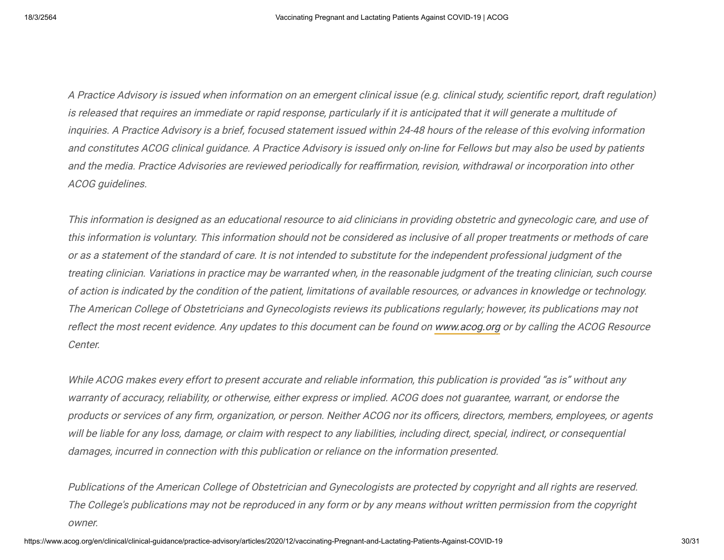A Practice Advisory is issued when information on an emergent clinical issue (e.g. clinical study, scientific report, draft regulation) is released that requires an immediate or rapid response, particularly if it is anticipated that it will generate a multitude of inquiries. A Practice Advisory is a brief, focused statement issued within 24-48 hours of the release of this evolving information and constitutes ACOG clinical guidance. A Practice Advisory is issued only on-line for Fellows but may also be used by patients and the media. Practice Advisories are reviewed periodically for reaffirmation, revision, withdrawal or incorporation into other ACOG guidelines.

This information is designed as an educational resource to aid clinicians in providing obstetric and gynecologic care, and use of this information is voluntary. This information should not be considered as inclusive of all proper treatments or methods of care or as a statement of the standard of care. It is not intended to substitute for the independent professional judgment of the treating clinician. Variations in practice may be warranted when, in the reasonable judgment of the treating clinician, such course of action is indicated by the condition of the patient, limitations of available resources, or advances in knowledge or technology. The American College of Obstetricians and Gynecologists reviews its publications regularly; however, its publications may not reflect the most recent evidence. Any updates to this document can be found on [www.acog.org](https://www.acog.org/) or by calling the ACOG Resource Center.

While ACOG makes every effort to present accurate and reliable information, this publication is provided "as is" without any warranty of accuracy, reliability, or otherwise, either express or implied. ACOG does not guarantee, warrant, or endorse the products or services of any firm, organization, or person. Neither ACOG nor its officers, directors, members, employees, or agents will be liable for any loss, damage, or claim with respect to any liabilities, including direct, special, indirect, or consequential damages, incurred in connection with this publication or reliance on the information presented.

Publications of the American College of Obstetrician and Gynecologists are protected by copyright and all rights are reserved. The College's publications may not be reproduced in any form or by any means without written permission from the copyright owner.